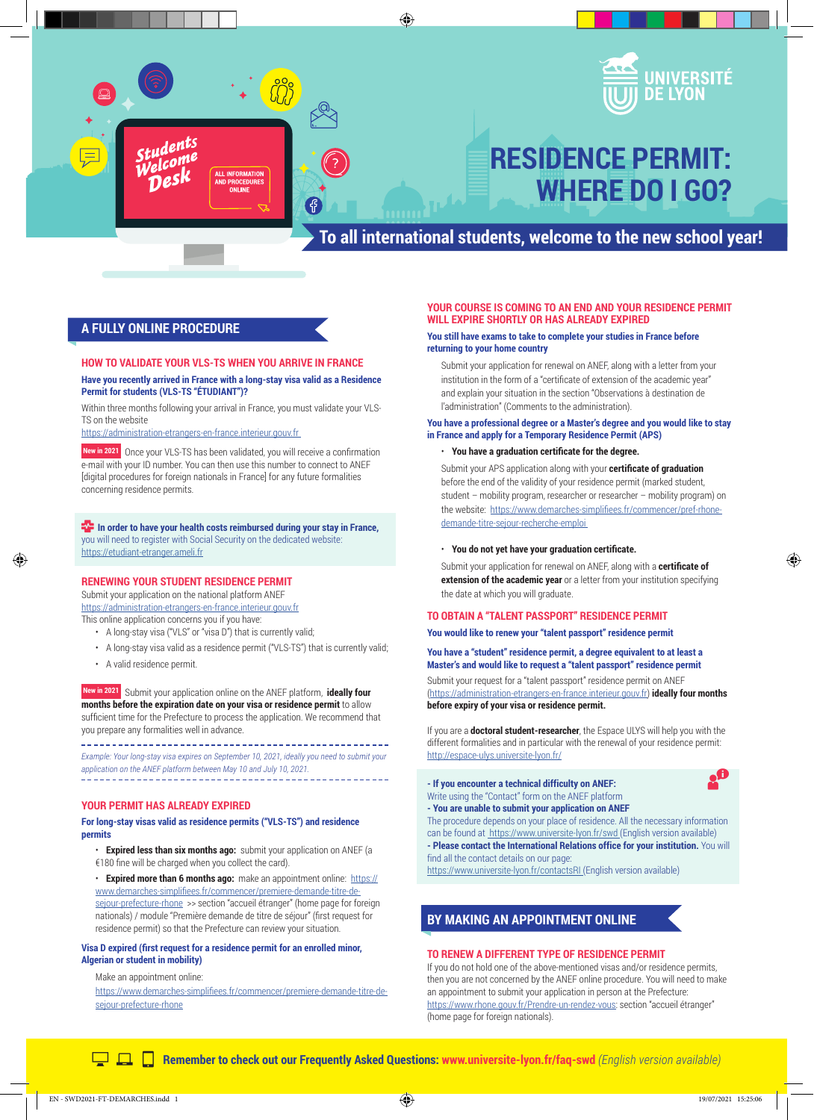

◈



# **RESIDENCE PERMIT: WHERE DO I GO?**

## **To all international students, welcome to the new school year!**

### **A FULLY ONLINE PROCEDURE**

#### **HOW TO VALIDATE YOUR VLS-TS WHEN YOU ARRIVE IN FRANCE Have you recently arrived in France with a long-stay visa valid as a Residence Permit for students (VLS-TS "ÉTUDIANT")?**

Within three months following your arrival in France, you must validate your VLS-TS on the website

https://administration-etrangers-en-france.interieur.gouv.fr

 **New in 2021** Once your VLS-TS has been validated, you will receive a confirmation e-mail with your ID number. You can then use this number to connect to ANEF [digital procedures for foreign nationals in France] for any future formalities concerning residence permits.

 **In order to have your health costs reimbursed during your stay in France,**  you will need to register with Social Security on the dedicated website: https://etudiant-etranger.ameli.fr

#### **RENEWING YOUR STUDENT RESIDENCE PERMIT**

Submit your application on the national platform ANEF

https://administration-etrangers-en-france.interieur.gouv.fr This online application concerns you if you have:

- A long-stay visa ("VLS" or "visa D") that is currently valid;
- A long-stay visa valid as a residence permit ("VLS-TS") that is currently valid;
- A valid residence permit.

◈

 **New in 2021** Submit your application online on the ANEF platform, **ideally four months before the expiration date on your visa or residence permit** to allow sufficient time for the Prefecture to process the application. We recommend that you prepare any formalities well in advance.

\_\_\_\_\_\_\_\_\_\_\_\_\_\_\_\_\_\_\_\_\_\_\_\_\_\_\_\_\_\_\_\_\_\_\_\_\_\_ *Example: Your long-stay visa expires on September 10, 2021, ideally you need to submit your application on the ANEF platform between May 10 and July 10, 2021.*

#### **YOUR PERMIT HAS ALREADY EXPIRED**

#### **For long-stay visas valid as residence permits ("VLS-TS") and residence permits**

- **Expired less than six months ago:** submit your application on ANEF (a €180 fine will be charged when you collect the card).
- **Expired more than 6 months ago:** make an appointment online: https:// www.demarches-simplifiees.fr/commencer/premiere-demande-titre-desejour-prefecture-rhone >> section "accueil étranger" (home page for foreign nationals) / module "Première demande de titre de séjour" (first request for residence permit) so that the Prefecture can review your situation.

#### **Visa D expired (first request for a residence permit for an enrolled minor, Algerian or student in mobility)**

Make an appointment online:

https://www.demarches-simplifiees.fr/commencer/premiere-demande-titre-desejour-prefecture-rhone

#### **YOUR COURSE IS COMING TO AN END AND YOUR RESIDENCE PERMIT WILL EXPIRE SHORTLY OR HAS ALREADY EXPIRED**

#### **You still have exams to take to complete your studies in France before returning to your home country**

Submit your application for renewal on ANEF, along with a letter from your institution in the form of a "certificate of extension of the academic year" and explain your situation in the section "Observations à destination de l'administration" (Comments to the administration).

#### **You have a professional degree or a Master's degree and you would like to stay in France and apply for a Temporary Residence Permit (APS)**

#### • **You have a graduation certificate for the degree.**

Submit your APS application along with your **certificate of graduation**  before the end of the validity of your residence permit (marked student, student – mobility program, researcher or researcher – mobility program) on the website: https://www.demarches-simplifiees.fr/commencer/pref-rhonedemande-titre-sejour-recherche-emploi

#### • **You do not yet have your graduation certificate.**

Submit your application for renewal on ANEF, along with a **certificate of extension of the academic year** or a letter from your institution specifying the date at which you will graduate.

#### **TO OBTAIN A "TALENT PASSPORT" RESIDENCE PERMIT**

**You would like to renew your "talent passport" residence permit**

**You have a "student" residence permit, a degree equivalent to at least a Master's and would like to request a "talent passport" residence permit**

Submit your request for a "talent passport" residence permit on ANEF (https://administration-etrangers-en-france.interieur.gouv.fr) **ideally four months before expiry of your visa or residence permit.**

If you are a **doctoral student-researcher**, the Espace ULYS will help you with the different formalities and in particular with the renewal of your residence permit: http://espace-ulys.universite-lyon.fr/

**- If you encounter a technical difficulty on ANEF:**  Write using the "Contact" form on the ANEF platform **- You are unable to submit your application on ANEF**

The procedure depends on your place of residence. All the necessary information can be found at https://www.universite-lyon.fr/swd (English version available) **- Please contact the International Relations office for your institution.** You will find all the contact details on our page:

https://www.universite-lyon.fr/contactsRI (English version available)

#### **BY MAKING AN APPOINTMENT ONLINE**

#### **TO RENEW A DIFFERENT TYPE OF RESIDENCE PERMIT**

If you do not hold one of the above-mentioned visas and/or residence permits, then you are not concerned by the ANEF online procedure. You will need to make an appointment to submit your application in person at the Prefecture: https://www.rhone.gouv.fr/Prendre-un-rendez-vous: section "accueil étranger" (home page for foreign nationals).

**Remember to check out our Frequently Asked Questions: www.universite-lyon.fr/faq-swd** *(English version available)*

◈